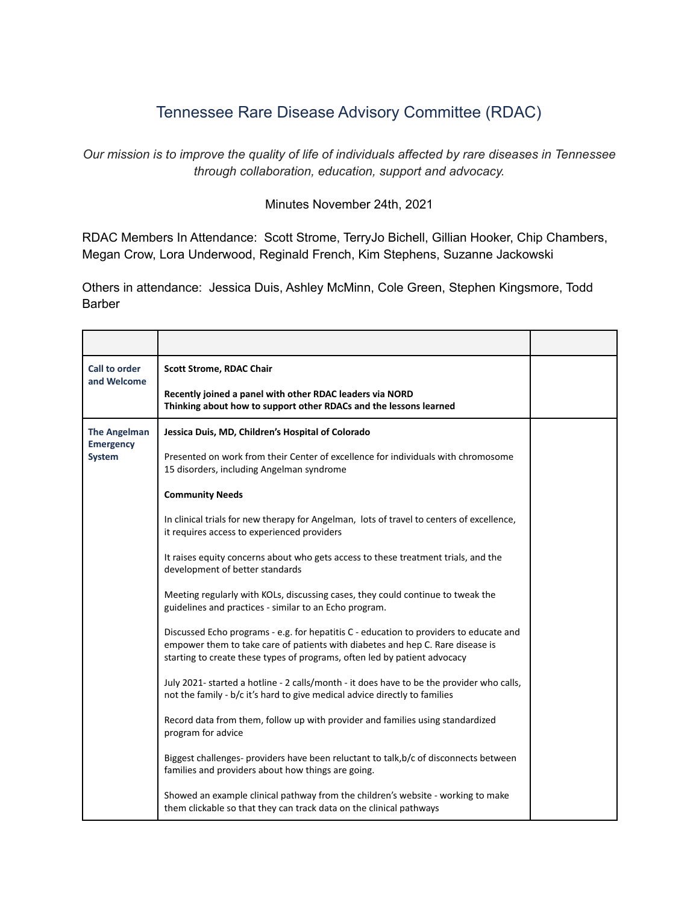## Tennessee Rare Disease Advisory Committee (RDAC)

*Our mission is to improve the quality of life of individuals affected by rare diseases in Tennessee through collaboration, education, support and advocacy.*

## Minutes November 24th, 2021

RDAC Members In Attendance: Scott Strome, TerryJo Bichell, Gillian Hooker, Chip Chambers, Megan Crow, Lora Underwood, Reginald French, Kim Stephens, Suzanne Jackowski

Others in attendance: Jessica Duis, Ashley McMinn, Cole Green, Stephen Kingsmore, Todd Barber

| Call to order<br>and Welcome                             | <b>Scott Strome, RDAC Chair</b>                                                                                                                                                                                                                       |  |
|----------------------------------------------------------|-------------------------------------------------------------------------------------------------------------------------------------------------------------------------------------------------------------------------------------------------------|--|
|                                                          | Recently joined a panel with other RDAC leaders via NORD<br>Thinking about how to support other RDACs and the lessons learned                                                                                                                         |  |
| <b>The Angelman</b><br><b>Emergency</b><br><b>System</b> | Jessica Duis, MD, Children's Hospital of Colorado                                                                                                                                                                                                     |  |
|                                                          | Presented on work from their Center of excellence for individuals with chromosome<br>15 disorders, including Angelman syndrome                                                                                                                        |  |
|                                                          | <b>Community Needs</b>                                                                                                                                                                                                                                |  |
|                                                          | In clinical trials for new therapy for Angelman, lots of travel to centers of excellence,<br>it requires access to experienced providers                                                                                                              |  |
|                                                          | It raises equity concerns about who gets access to these treatment trials, and the<br>development of better standards                                                                                                                                 |  |
|                                                          | Meeting regularly with KOLs, discussing cases, they could continue to tweak the<br>guidelines and practices - similar to an Echo program.                                                                                                             |  |
|                                                          | Discussed Echo programs - e.g. for hepatitis C - education to providers to educate and<br>empower them to take care of patients with diabetes and hep C. Rare disease is<br>starting to create these types of programs, often led by patient advocacy |  |
|                                                          | July 2021- started a hotline - 2 calls/month - it does have to be the provider who calls,<br>not the family - b/c it's hard to give medical advice directly to families                                                                               |  |
|                                                          | Record data from them, follow up with provider and families using standardized<br>program for advice                                                                                                                                                  |  |
|                                                          | Biggest challenges- providers have been reluctant to talk, b/c of disconnects between<br>families and providers about how things are going.                                                                                                           |  |
|                                                          | Showed an example clinical pathway from the children's website - working to make<br>them clickable so that they can track data on the clinical pathways                                                                                               |  |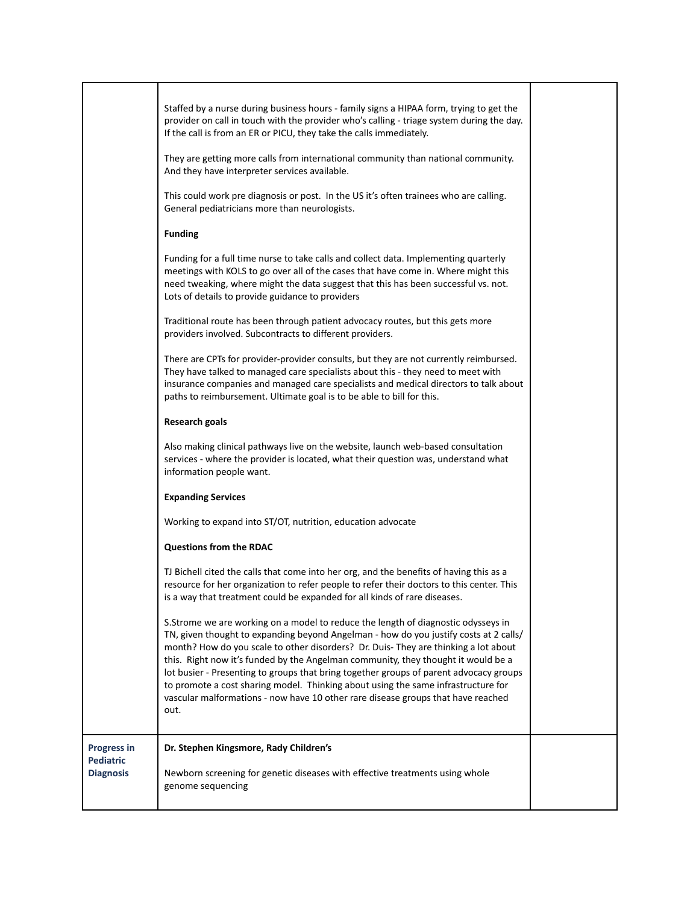|                                      | Staffed by a nurse during business hours - family signs a HIPAA form, trying to get the<br>provider on call in touch with the provider who's calling - triage system during the day.<br>If the call is from an ER or PICU, they take the calls immediately.                                                                                                                                                                                                                                                                                                                                                                       |  |
|--------------------------------------|-----------------------------------------------------------------------------------------------------------------------------------------------------------------------------------------------------------------------------------------------------------------------------------------------------------------------------------------------------------------------------------------------------------------------------------------------------------------------------------------------------------------------------------------------------------------------------------------------------------------------------------|--|
|                                      | They are getting more calls from international community than national community.<br>And they have interpreter services available.                                                                                                                                                                                                                                                                                                                                                                                                                                                                                                |  |
|                                      | This could work pre diagnosis or post. In the US it's often trainees who are calling.<br>General pediatricians more than neurologists.                                                                                                                                                                                                                                                                                                                                                                                                                                                                                            |  |
|                                      | <b>Funding</b>                                                                                                                                                                                                                                                                                                                                                                                                                                                                                                                                                                                                                    |  |
|                                      | Funding for a full time nurse to take calls and collect data. Implementing quarterly<br>meetings with KOLS to go over all of the cases that have come in. Where might this<br>need tweaking, where might the data suggest that this has been successful vs. not.<br>Lots of details to provide guidance to providers                                                                                                                                                                                                                                                                                                              |  |
|                                      | Traditional route has been through patient advocacy routes, but this gets more<br>providers involved. Subcontracts to different providers.                                                                                                                                                                                                                                                                                                                                                                                                                                                                                        |  |
|                                      | There are CPTs for provider-provider consults, but they are not currently reimbursed.<br>They have talked to managed care specialists about this - they need to meet with<br>insurance companies and managed care specialists and medical directors to talk about<br>paths to reimbursement. Ultimate goal is to be able to bill for this.                                                                                                                                                                                                                                                                                        |  |
|                                      | <b>Research goals</b>                                                                                                                                                                                                                                                                                                                                                                                                                                                                                                                                                                                                             |  |
|                                      | Also making clinical pathways live on the website, launch web-based consultation<br>services - where the provider is located, what their question was, understand what<br>information people want.                                                                                                                                                                                                                                                                                                                                                                                                                                |  |
|                                      | <b>Expanding Services</b>                                                                                                                                                                                                                                                                                                                                                                                                                                                                                                                                                                                                         |  |
|                                      | Working to expand into ST/OT, nutrition, education advocate                                                                                                                                                                                                                                                                                                                                                                                                                                                                                                                                                                       |  |
|                                      | <b>Questions from the RDAC</b>                                                                                                                                                                                                                                                                                                                                                                                                                                                                                                                                                                                                    |  |
|                                      | TJ Bichell cited the calls that come into her org, and the benefits of having this as a<br>resource for her organization to refer people to refer their doctors to this center. This<br>is a way that treatment could be expanded for all kinds of rare diseases.                                                                                                                                                                                                                                                                                                                                                                 |  |
|                                      | S.Strome we are working on a model to reduce the length of diagnostic odysseys in<br>TN, given thought to expanding beyond Angelman - how do you justify costs at 2 calls/<br>month? How do you scale to other disorders? Dr. Duis- They are thinking a lot about<br>this. Right now it's funded by the Angelman community, they thought it would be a<br>lot busier - Presenting to groups that bring together groups of parent advocacy groups<br>to promote a cost sharing model. Thinking about using the same infrastructure for<br>vascular malformations - now have 10 other rare disease groups that have reached<br>out. |  |
| <b>Progress in</b>                   | Dr. Stephen Kingsmore, Rady Children's                                                                                                                                                                                                                                                                                                                                                                                                                                                                                                                                                                                            |  |
| <b>Pediatric</b><br><b>Diagnosis</b> | Newborn screening for genetic diseases with effective treatments using whole<br>genome sequencing                                                                                                                                                                                                                                                                                                                                                                                                                                                                                                                                 |  |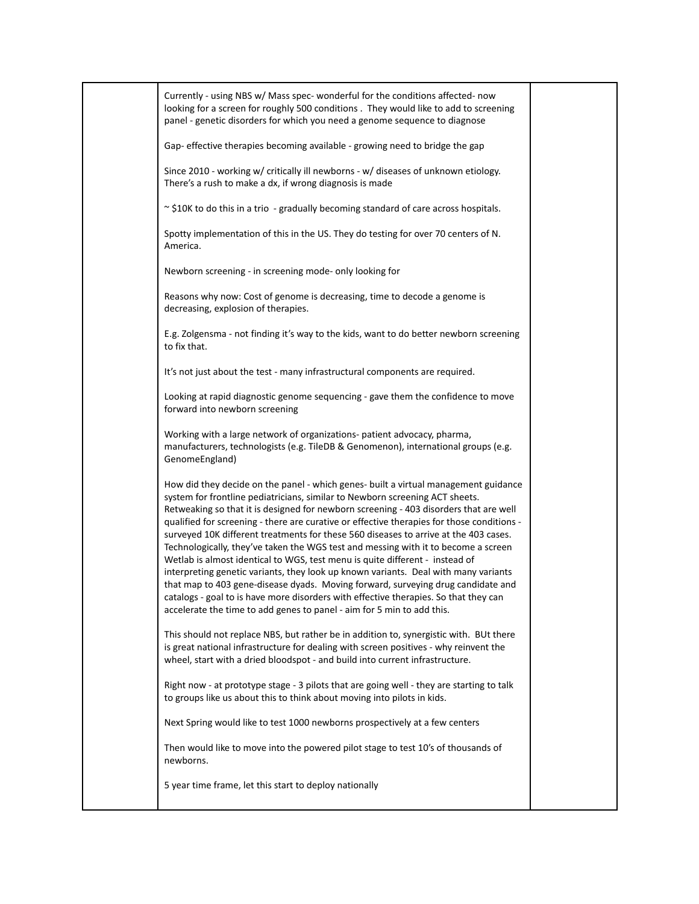| Currently - using NBS w/ Mass spec- wonderful for the conditions affected- now<br>looking for a screen for roughly 500 conditions . They would like to add to screening<br>panel - genetic disorders for which you need a genome sequence to diagnose                                                                                                                                                                                                                                                                                                                                                                                                                                                                                                                                                                                                                                                                                                                 |  |
|-----------------------------------------------------------------------------------------------------------------------------------------------------------------------------------------------------------------------------------------------------------------------------------------------------------------------------------------------------------------------------------------------------------------------------------------------------------------------------------------------------------------------------------------------------------------------------------------------------------------------------------------------------------------------------------------------------------------------------------------------------------------------------------------------------------------------------------------------------------------------------------------------------------------------------------------------------------------------|--|
| Gap- effective therapies becoming available - growing need to bridge the gap                                                                                                                                                                                                                                                                                                                                                                                                                                                                                                                                                                                                                                                                                                                                                                                                                                                                                          |  |
| Since 2010 - working w/ critically ill newborns - w/ diseases of unknown etiology.<br>There's a rush to make a dx, if wrong diagnosis is made                                                                                                                                                                                                                                                                                                                                                                                                                                                                                                                                                                                                                                                                                                                                                                                                                         |  |
| ~ \$10K to do this in a trio - gradually becoming standard of care across hospitals.                                                                                                                                                                                                                                                                                                                                                                                                                                                                                                                                                                                                                                                                                                                                                                                                                                                                                  |  |
| Spotty implementation of this in the US. They do testing for over 70 centers of N.<br>America.                                                                                                                                                                                                                                                                                                                                                                                                                                                                                                                                                                                                                                                                                                                                                                                                                                                                        |  |
| Newborn screening - in screening mode- only looking for                                                                                                                                                                                                                                                                                                                                                                                                                                                                                                                                                                                                                                                                                                                                                                                                                                                                                                               |  |
| Reasons why now: Cost of genome is decreasing, time to decode a genome is<br>decreasing, explosion of therapies.                                                                                                                                                                                                                                                                                                                                                                                                                                                                                                                                                                                                                                                                                                                                                                                                                                                      |  |
| E.g. Zolgensma - not finding it's way to the kids, want to do better newborn screening<br>to fix that.                                                                                                                                                                                                                                                                                                                                                                                                                                                                                                                                                                                                                                                                                                                                                                                                                                                                |  |
| It's not just about the test - many infrastructural components are required.                                                                                                                                                                                                                                                                                                                                                                                                                                                                                                                                                                                                                                                                                                                                                                                                                                                                                          |  |
| Looking at rapid diagnostic genome sequencing - gave them the confidence to move<br>forward into newborn screening                                                                                                                                                                                                                                                                                                                                                                                                                                                                                                                                                                                                                                                                                                                                                                                                                                                    |  |
| Working with a large network of organizations- patient advocacy, pharma,<br>manufacturers, technologists (e.g. TileDB & Genomenon), international groups (e.g.<br>GenomeEngland)                                                                                                                                                                                                                                                                                                                                                                                                                                                                                                                                                                                                                                                                                                                                                                                      |  |
| How did they decide on the panel - which genes- built a virtual management guidance<br>system for frontline pediatricians, similar to Newborn screening ACT sheets.<br>Retweaking so that it is designed for newborn screening - 403 disorders that are well<br>qualified for screening - there are curative or effective therapies for those conditions -<br>surveyed 10K different treatments for these 560 diseases to arrive at the 403 cases.<br>Technologically, they've taken the WGS test and messing with it to become a screen<br>Wetlab is almost identical to WGS, test menu is quite different - instead of<br>interpreting genetic variants, they look up known variants. Deal with many variants<br>that map to 403 gene-disease dyads. Moving forward, surveying drug candidate and<br>catalogs - goal to is have more disorders with effective therapies. So that they can<br>accelerate the time to add genes to panel - aim for 5 min to add this. |  |
| This should not replace NBS, but rather be in addition to, synergistic with. BUt there<br>is great national infrastructure for dealing with screen positives - why reinvent the<br>wheel, start with a dried bloodspot - and build into current infrastructure.                                                                                                                                                                                                                                                                                                                                                                                                                                                                                                                                                                                                                                                                                                       |  |
| Right now - at prototype stage - 3 pilots that are going well - they are starting to talk<br>to groups like us about this to think about moving into pilots in kids.                                                                                                                                                                                                                                                                                                                                                                                                                                                                                                                                                                                                                                                                                                                                                                                                  |  |
| Next Spring would like to test 1000 newborns prospectively at a few centers                                                                                                                                                                                                                                                                                                                                                                                                                                                                                                                                                                                                                                                                                                                                                                                                                                                                                           |  |
| Then would like to move into the powered pilot stage to test 10's of thousands of<br>newborns.                                                                                                                                                                                                                                                                                                                                                                                                                                                                                                                                                                                                                                                                                                                                                                                                                                                                        |  |
| 5 year time frame, let this start to deploy nationally                                                                                                                                                                                                                                                                                                                                                                                                                                                                                                                                                                                                                                                                                                                                                                                                                                                                                                                |  |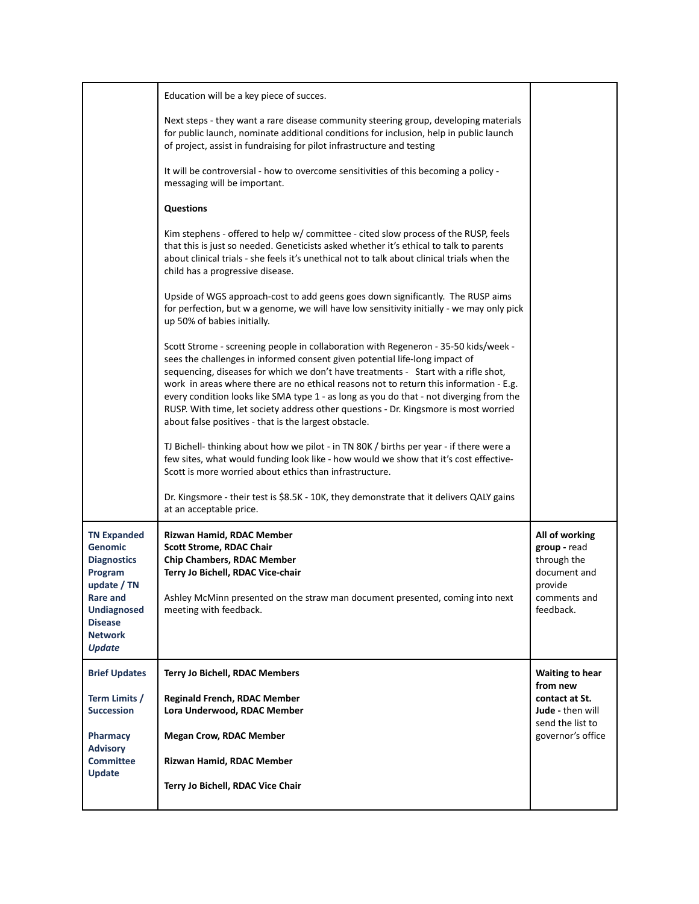|                                                                                                           | Education will be a key piece of succes.<br>Next steps - they want a rare disease community steering group, developing materials                                                                                                                                                                                                                                                                                                                                                                                                                                                               |                                                                    |
|-----------------------------------------------------------------------------------------------------------|------------------------------------------------------------------------------------------------------------------------------------------------------------------------------------------------------------------------------------------------------------------------------------------------------------------------------------------------------------------------------------------------------------------------------------------------------------------------------------------------------------------------------------------------------------------------------------------------|--------------------------------------------------------------------|
|                                                                                                           | for public launch, nominate additional conditions for inclusion, help in public launch<br>of project, assist in fundraising for pilot infrastructure and testing<br>It will be controversial - how to overcome sensitivities of this becoming a policy -                                                                                                                                                                                                                                                                                                                                       |                                                                    |
|                                                                                                           | messaging will be important.                                                                                                                                                                                                                                                                                                                                                                                                                                                                                                                                                                   |                                                                    |
|                                                                                                           | <b>Questions</b>                                                                                                                                                                                                                                                                                                                                                                                                                                                                                                                                                                               |                                                                    |
|                                                                                                           | Kim stephens - offered to help w/ committee - cited slow process of the RUSP, feels<br>that this is just so needed. Geneticists asked whether it's ethical to talk to parents<br>about clinical trials - she feels it's unethical not to talk about clinical trials when the<br>child has a progressive disease.                                                                                                                                                                                                                                                                               |                                                                    |
|                                                                                                           | Upside of WGS approach-cost to add geens goes down significantly. The RUSP aims<br>for perfection, but w a genome, we will have low sensitivity initially - we may only pick<br>up 50% of babies initially.                                                                                                                                                                                                                                                                                                                                                                                    |                                                                    |
|                                                                                                           | Scott Strome - screening people in collaboration with Regeneron - 35-50 kids/week -<br>sees the challenges in informed consent given potential life-long impact of<br>sequencing, diseases for which we don't have treatments - Start with a rifle shot,<br>work in areas where there are no ethical reasons not to return this information - E.g.<br>every condition looks like SMA type 1 - as long as you do that - not diverging from the<br>RUSP. With time, let society address other questions - Dr. Kingsmore is most worried<br>about false positives - that is the largest obstacle. |                                                                    |
|                                                                                                           | TJ Bichell- thinking about how we pilot - in TN 80K / births per year - if there were a<br>few sites, what would funding look like - how would we show that it's cost effective-<br>Scott is more worried about ethics than infrastructure.                                                                                                                                                                                                                                                                                                                                                    |                                                                    |
|                                                                                                           | Dr. Kingsmore - their test is \$8.5K - 10K, they demonstrate that it delivers QALY gains<br>at an acceptable price.                                                                                                                                                                                                                                                                                                                                                                                                                                                                            |                                                                    |
| <b>TN Expanded</b><br><b>Genomic</b><br><b>Diagnostics</b><br>Program                                     | Rizwan Hamid, RDAC Member<br><b>Scott Strome, RDAC Chair</b><br><b>Chip Chambers, RDAC Member</b><br>Terry Jo Bichell, RDAC Vice-chair                                                                                                                                                                                                                                                                                                                                                                                                                                                         | All of working<br>group - read<br>through the<br>document and      |
| update / TN<br><b>Rare and</b><br><b>Undiagnosed</b><br><b>Disease</b><br><b>Network</b><br><b>Update</b> | Ashley McMinn presented on the straw man document presented, coming into next<br>meeting with feedback.                                                                                                                                                                                                                                                                                                                                                                                                                                                                                        | provide<br>comments and<br>feedback.                               |
| <b>Brief Updates</b>                                                                                      | <b>Terry Jo Bichell, RDAC Members</b>                                                                                                                                                                                                                                                                                                                                                                                                                                                                                                                                                          | <b>Waiting to hear</b>                                             |
| Term Limits /<br><b>Succession</b>                                                                        | <b>Reginald French, RDAC Member</b><br>Lora Underwood, RDAC Member                                                                                                                                                                                                                                                                                                                                                                                                                                                                                                                             | from new<br>contact at St.<br>Jude - then will<br>send the list to |
| Pharmacy<br><b>Advisory</b>                                                                               | <b>Megan Crow, RDAC Member</b>                                                                                                                                                                                                                                                                                                                                                                                                                                                                                                                                                                 | governor's office                                                  |
| <b>Committee</b><br>Update                                                                                | Rizwan Hamid, RDAC Member                                                                                                                                                                                                                                                                                                                                                                                                                                                                                                                                                                      |                                                                    |
|                                                                                                           | Terry Jo Bichell, RDAC Vice Chair                                                                                                                                                                                                                                                                                                                                                                                                                                                                                                                                                              |                                                                    |